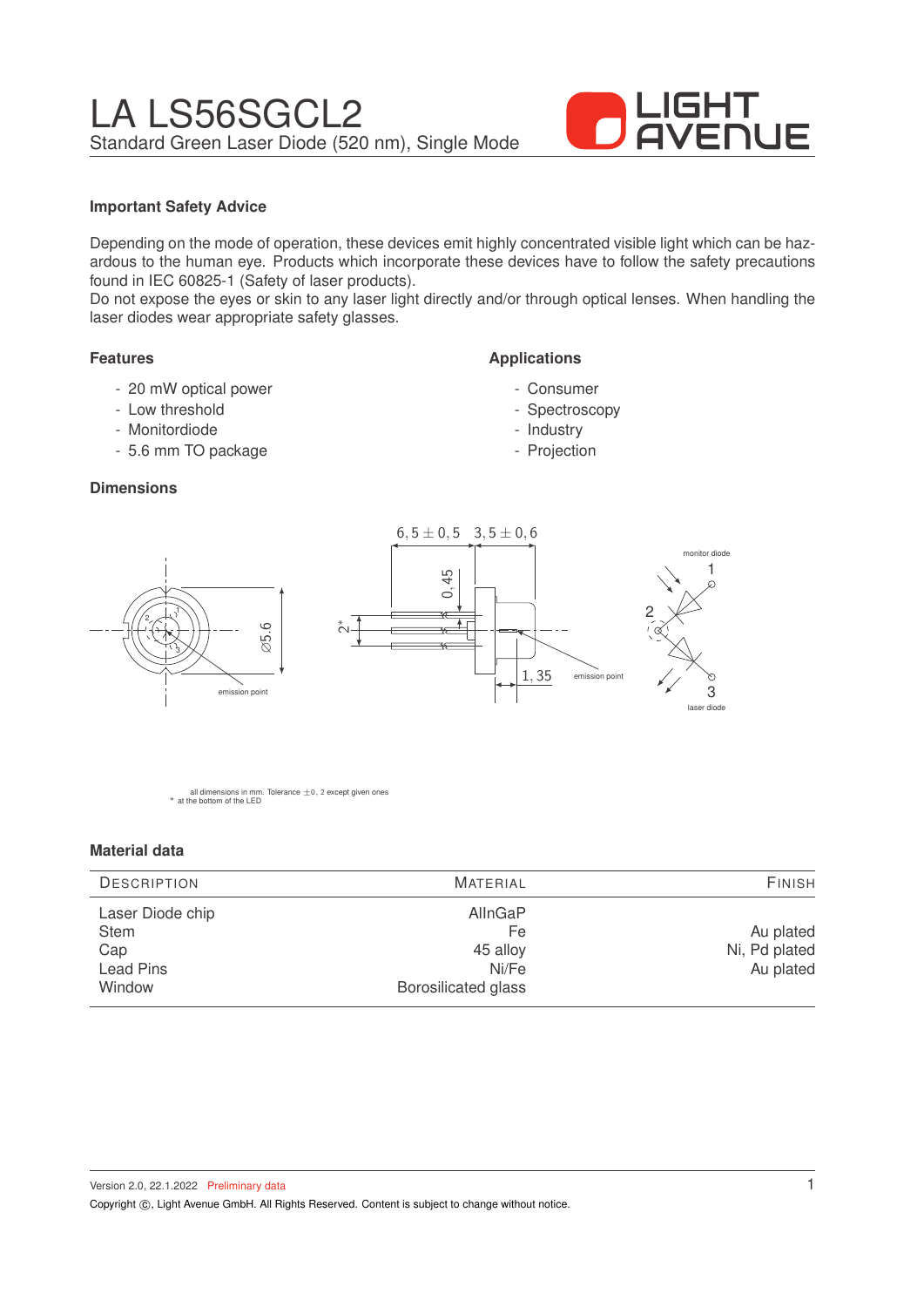

## **Important Safety Advice**

Depending on the mode of operation, these devices emit highly concentrated visible light which can be hazardous to the human eye. Products which incorporate these devices have to follow the safety precautions found in IEC 60825-1 (Safety of laser products).

Do not expose the eyes or skin to any laser light directly and/or through optical lenses. When handling the laser diodes wear appropriate safety glasses.

### **Features**

- 20 mW optical power
- Low threshold
- Monitordiode

1

3

2

- 5.6 mm TO package

### **Dimensions**



**Applications**

- Consumer - Spectroscopy - Industry - Projection

all dimensions in mm. Tolerance  $\pm$ 0, 2 except given ones \* at the bottom of the LED

∅5.6

emission point

#### **Material data**

| AllnGaP<br>Laser Diode chip<br><b>Stem</b><br>Fe<br>45 alloy<br>Cap | <b>DESCRIPTION</b> | <b>MATERIAL</b> | <b>FINISH</b>                           |  |
|---------------------------------------------------------------------|--------------------|-----------------|-----------------------------------------|--|
| <b>Borosilicated glass</b><br>Window                                | <b>Lead Pins</b>   | Ni/Fe           | Au plated<br>Ni, Pd plated<br>Au plated |  |

Version 2.0, 22.1.2022 Preliminary data Copyright ©, Light Avenue GmbH. All Rights Reserved. Content is subject to change without notice.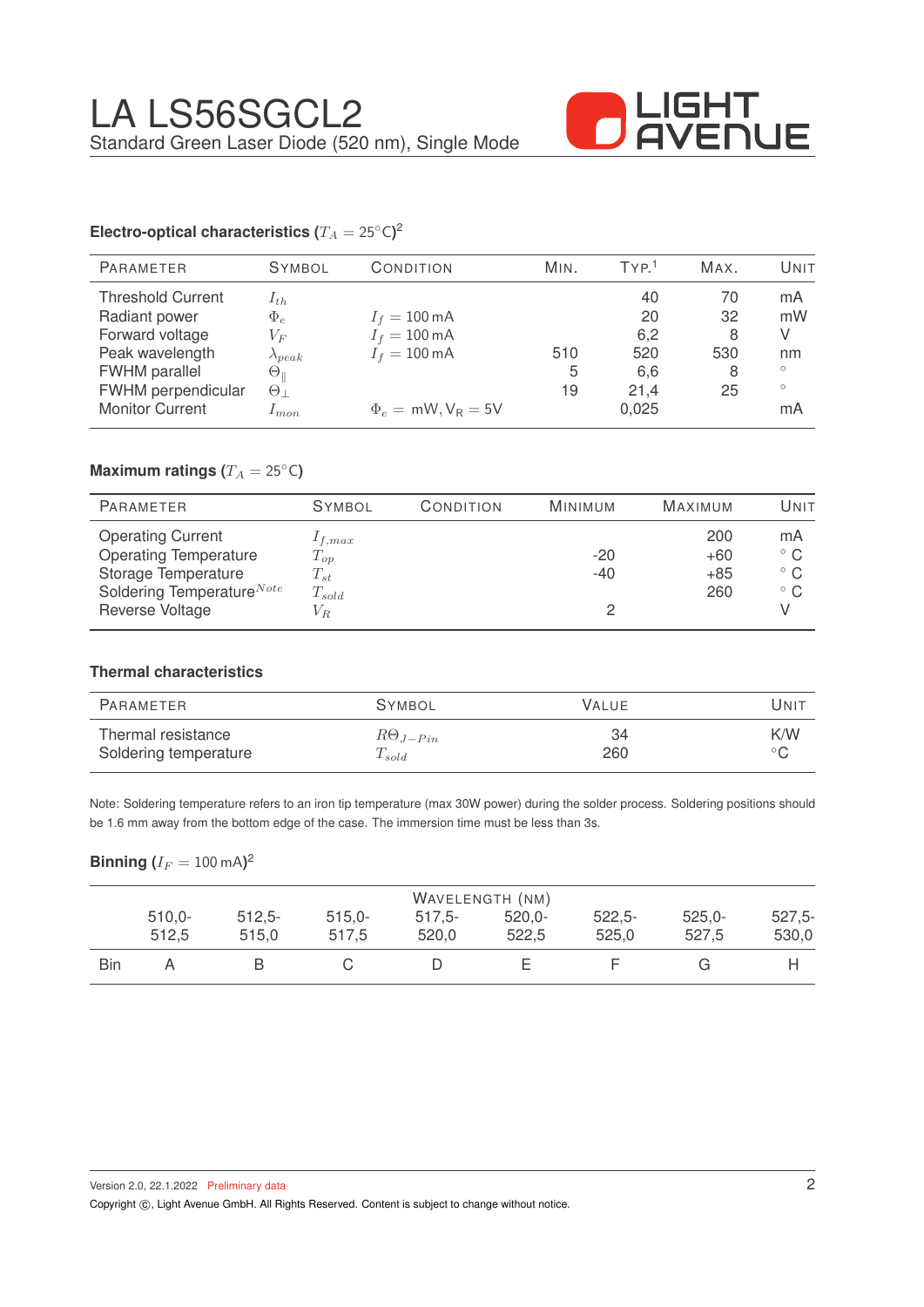

# **Electro-optical characteristics (** $T_A = 25°C$ **)<sup>2</sup>**

| <b>PARAMETER</b>                                                                                        | <b>SYMBOL</b>                                                             | CONDITION                                                                    | MIN.     | TYP <sup>1</sup>              | MAX.                      | UNIT                           |
|---------------------------------------------------------------------------------------------------------|---------------------------------------------------------------------------|------------------------------------------------------------------------------|----------|-------------------------------|---------------------------|--------------------------------|
| <b>Threshold Current</b><br>Radiant power<br>Forward voltage<br>Peak wavelength<br><b>FWHM</b> parallel | $1_{th}$<br>$\Phi_e$<br>$V_{F}$<br>$\lambda_{peak}$<br>$\Theta_\parallel$ | $I_f = 100 \,\text{mA}$<br>$I_f = 100 \,\text{mA}$<br>$I_f = 100 \text{ mA}$ | 510<br>5 | 40<br>20<br>6,2<br>520<br>6,6 | 70<br>32<br>8<br>530<br>8 | mA<br>mW<br>V<br>nm<br>$\circ$ |
| FWHM perpendicular<br><b>Monitor Current</b>                                                            | $\Theta_{\perp}$<br>$1$ m.on.                                             | $\Phi_e = mW, V_R = 5V$                                                      | 19       | 21.4<br>0,025                 | 25                        | $\circ$<br>mA                  |

# **Maximum ratings (** $T_A = 25$ °C)

| <b>PARAMETER</b>                                                                | <b>SYMBOL</b>                       | CONDITION | <b>MINIMUM</b> | <b>MAXIMUM</b>        | UNIT                                               |
|---------------------------------------------------------------------------------|-------------------------------------|-----------|----------------|-----------------------|----------------------------------------------------|
| <b>Operating Current</b><br><b>Operating Temperature</b><br>Storage Temperature | $1_{f,max}$<br>$T_{op}$<br>$T_{st}$ |           | $-20$<br>$-40$ | 200<br>$+60$<br>$+85$ | mA<br>$^{\circ}$ C<br>$^{\circ}$ C<br>$^{\circ}$ C |
| Soldering Temperature <sup>Note</sup><br>Reverse Voltage                        | $T_{sold}$<br>$V_{R}$               |           |                | 260                   |                                                    |

### **Thermal characteristics**

| PARAMETER             | <b>SYMBOL</b>     | VALUE | UNIT           |
|-----------------------|-------------------|-------|----------------|
| Thermal resistance    | $R\Theta_{J-Pin}$ | 34    | K/W            |
| Soldering temperature | $T_{sold}$        | 260   | $\circ$ $\cap$ |

Note: Soldering temperature refers to an iron tip temperature (max 30W power) during the solder process. Soldering positions should be 1.6 mm away from the bottom edge of the case. The immersion time must be less than 3s.

## $\mathsf{Binning\ } (I_F = 100 \ \mathrm{mA} )^2$

| WAVELENGTH (NM) |          |           |          |           |           |          |           |          |
|-----------------|----------|-----------|----------|-----------|-----------|----------|-----------|----------|
|                 | $510,0-$ | $512.5 -$ | $515,0-$ | $517.5 -$ | $520.0 -$ | $522,5-$ | $525.0 -$ | $527,5-$ |
|                 | 512,5    | 515.0     | 517.5    | 520.0     | 522,5     | 525,0    | 527,5     | 530,0    |
| Bin             |          |           |          |           |           |          |           |          |

Copyright ©, Light Avenue GmbH. All Rights Reserved. Content is subject to change without notice.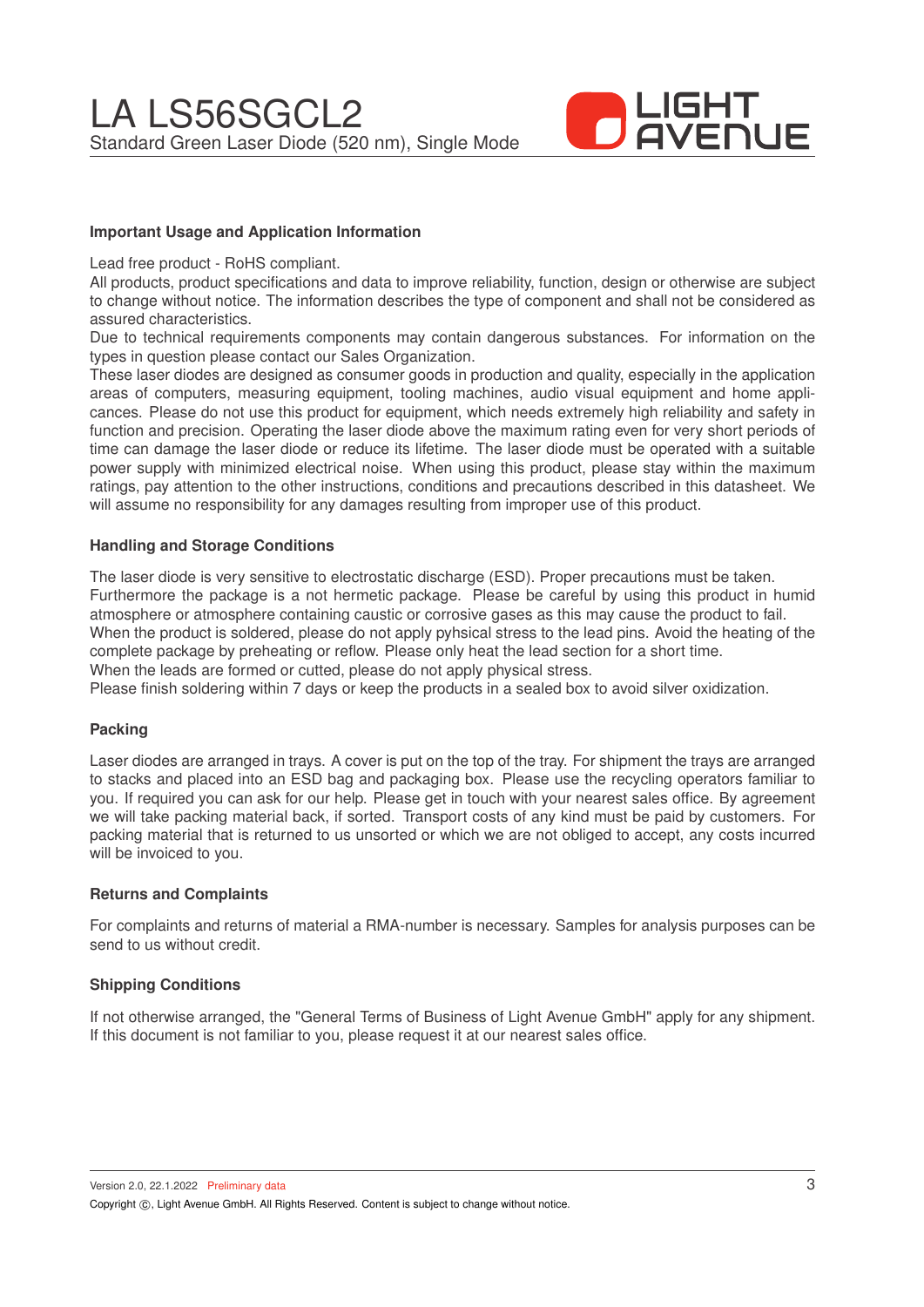

## **Important Usage and Application Information**

Lead free product - RoHS compliant.

All products, product specifications and data to improve reliability, function, design or otherwise are subject to change without notice. The information describes the type of component and shall not be considered as assured characteristics.

Due to technical requirements components may contain dangerous substances. For information on the types in question please contact our Sales Organization.

These laser diodes are designed as consumer goods in production and quality, especially in the application areas of computers, measuring equipment, tooling machines, audio visual equipment and home applicances. Please do not use this product for equipment, which needs extremely high reliability and safety in function and precision. Operating the laser diode above the maximum rating even for very short periods of time can damage the laser diode or reduce its lifetime. The laser diode must be operated with a suitable power supply with minimized electrical noise. When using this product, please stay within the maximum ratings, pay attention to the other instructions, conditions and precautions described in this datasheet. We will assume no responsibility for any damages resulting from improper use of this product.

#### **Handling and Storage Conditions**

The laser diode is very sensitive to electrostatic discharge (ESD). Proper precautions must be taken. Furthermore the package is a not hermetic package. Please be careful by using this product in humid atmosphere or atmosphere containing caustic or corrosive gases as this may cause the product to fail. When the product is soldered, please do not apply pyhsical stress to the lead pins. Avoid the heating of the complete package by preheating or reflow. Please only heat the lead section for a short time. When the leads are formed or cutted, please do not apply physical stress.

Please finish soldering within 7 days or keep the products in a sealed box to avoid silver oxidization.

#### **Packing**

Laser diodes are arranged in trays. A cover is put on the top of the tray. For shipment the trays are arranged to stacks and placed into an ESD bag and packaging box. Please use the recycling operators familiar to you. If required you can ask for our help. Please get in touch with your nearest sales office. By agreement we will take packing material back, if sorted. Transport costs of any kind must be paid by customers. For packing material that is returned to us unsorted or which we are not obliged to accept, any costs incurred will be invoiced to you.

#### **Returns and Complaints**

For complaints and returns of material a RMA-number is necessary. Samples for analysis purposes can be send to us without credit.

## **Shipping Conditions**

If not otherwise arranged, the "General Terms of Business of Light Avenue GmbH" apply for any shipment. If this document is not familiar to you, please request it at our nearest sales office.

Version 2.0, 22.1.2022 Preliminary data Copyright (C), Light Avenue GmbH. All Rights Reserved. Content is subject to change without notice.